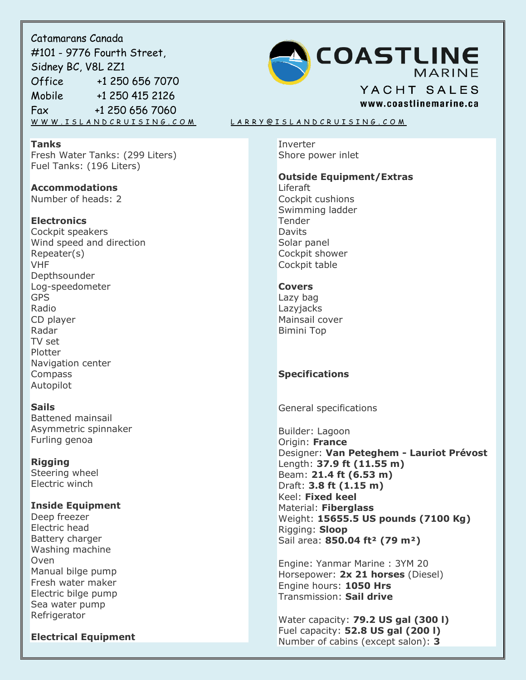Catamarans Canada #101 - 9776 Fourth Street, Sidney BC, V8L 2Z1 Office +1 250 656 7070 Mobile +1 250 415 2126 Fax +1 250 656 7060

### **Tanks**

Fresh Water Tanks: (299 Liters) Fuel Tanks: (196 Liters)

**Accommodations** Number of heads: 2

## **Electronics**

Cockpit speakers Wind speed and direction Repeater(s) VHF **Depthsounder** Log-speedometer GPS Radio CD player Radar TV set Plotter Navigation center Compass Autopilot

## **Sails**

Battened mainsail Asymmetric spinnaker Furling genoa

**Rigging** Steering wheel

Electric winch

# **Inside Equipment**

Deep freezer Electric head Battery charger Washing machine Oven Manual bilge pump Fresh water maker Electric bilge pump Sea water pump Refrigerator

**Electrical Equipment**



#### W W W . I SLAND CRUISING . COM LARRY @ I SLAND CRUISING . COM

Inverter Shore power inlet

#### **Outside Equipment/Extras**

Liferaft Cockpit cushions Swimming ladder Tender Davits Solar panel Cockpit shower Cockpit table

#### **Covers**

Lazy bag **Lazviacks** Mainsail cover Bimini Top

# **Specifications**

General specifications

Builder: Lagoon Origin: **France** Designer: **Van Peteghem - Lauriot Prévost** Length: **37.9 ft (11.55 m)** Beam: **21.4 ft (6.53 m)** Draft: **3.8 ft (1.15 m)** Keel: **Fixed keel** Material: **Fiberglass** Weight: **15655.5 US pounds (7100 Kg)** Rigging: **Sloop** Sail area: **850.04 ft² (79 m²)**

Engine: Yanmar Marine : 3YM 20 Horsepower: **2x 21 horses** (Diesel) Engine hours: **1050 Hrs** Transmission: **Sail drive**

Water capacity: **79.2 US gal (300 l)** Fuel capacity: **52.8 US gal (200 l)** Number of cabins (except salon): **3**